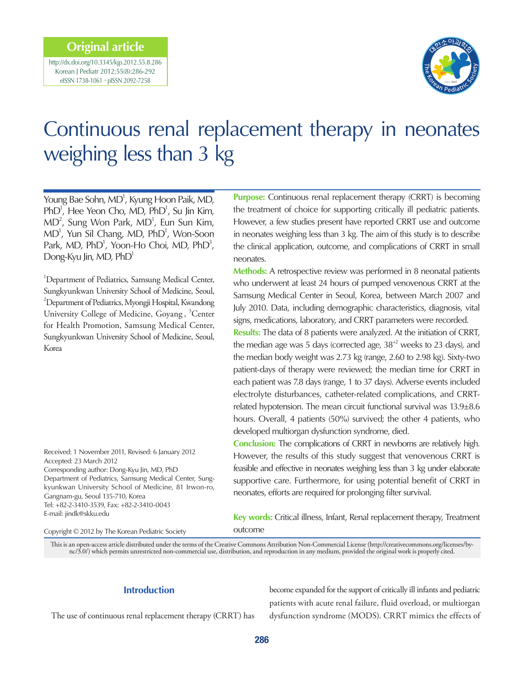# **Original article**

http://dx.doi.org/10.3345/kjp.2012.55.8.286 Korean J Pediatr 2012;55(8):286-292 eISSN 1738-1061 • pISSN 2092-7258



# Continuous renal replacement therapy in neonates weighing less than 3 kg

Young Bae Sohn, MD<sup>1</sup>, Kyung Hoon Paik, MD, PhD<sup>1</sup>, Hee Yeon Cho, MD, PhD<sup>1</sup>, Su Jin Kim,  $MD<sup>2</sup>$ , Sung Won Park, MD<sup>1</sup>, Eun Sun Kim, MD<sup>1</sup>, Yun Sil Chang, MD, PhD<sup>1</sup>, Won-Soon Park, MD,  $PhD<sup>1</sup>$ , Yoon-Ho Choi, MD,  $PhD<sup>3</sup>$ , Dong-Kyu Jin, MD, PhD<sup>1</sup>

<sup>1</sup>Department of Pediatrics, Samsung Medical Center, Sungkyunkwan University School of Medicine, Seoul, 2 Department of Pediatrics, Myongji Hospital, Kwandong University College of Medicine, Goyang, <sup>3</sup>Center for Health Promotion, Samsung Medical Center, Sungkyunkwan University School of Medicine, Seoul, Korea

Received: 1 November 2011, Revised: 6 January 2012 Accepted: 23 March 2012 Corresponding author: Dong-Kyu Jin, MD, PhD Department of Pediatrics, Samsung Medical Center, Sungkyunkwan University School of Medicine, 81 Irwon-ro, Gangnam-gu, Seoul 135-710, Korea Tel: +82-2-3410-3539, Fax: +82-2-3410-0043 E-mail: jindk@skku.edu

Copyright © 2012 by The Korean Pediatric Society

**Purpose:** Continuous renal replacement therapy (CRRT) is becoming the treatment of choice for supporting critically ill pediatric patients. However, a few studies present have reported CRRT use and outcome in neonates weighing less than 3 kg. The aim of this study is to describe the clinical application, outcome, and complications of CRRT in small neonates.

**Methods:** A retrospective review was performed in 8 neonatal patients who underwent at least 24 hours of pumped venovenous CRRT at the Samsung Medical Center in Seoul, Korea, between March 2007 and July 2010. Data, including demographic characteristics, diagnosis, vital signs, medications, laboratory, and CRRT parameters were recorded.

**Results:** The data of 8 patients were analyzed. At the initiation of CRRT, the median age was 5 days (corrected age,  $38^{+2}$  weeks to 23 days), and the median body weight was 2.73 kg (range, 2.60 to 2.98 kg). Sixty-two patient-days of therapy were reviewed; the median time for CRRT in each patient was 7.8 days (range, 1 to 37 days). Adverse events included electrolyte disturbances, catheter-related complications, and CRRTrelated hypotension. The mean circuit functional survival was 13.9±8.6 hours. Overall, 4 patients (50%) survived; the other 4 patients, who developed multiorgan dysfunction syndrome, died.

**Conclusion:** The complications of CRRT in newborns are relatively high. However, the results of this study suggest that venovenous CRRT is feasible and effective in neonates weighing less than 3 kg under elaborate supportive care. Furthermore, for using potential benefit of CRRT in neonates, efforts are required for prolonging filter survival.

**Key words:** Critical illness, Infant, Renal replacement therapy, Treatment outcome

This is an open-access article distributed under the terms of the Creative Commons Attribution Non-Commercial License (http://creativecommons.org/licenses/bync/3.0/) which permits unrestricted non-commercial use, distribution, and reproduction in any medium, provided the original work is properly cited.

## **Introduction**

The use of continuous renal replacement therapy (CRRT) has

become expanded for the support of critically ill infants and pediatric patients with acute renal failure, fluid overload, or multiorgan dysfunction syndrome (MODS). CRRT mimics the effects of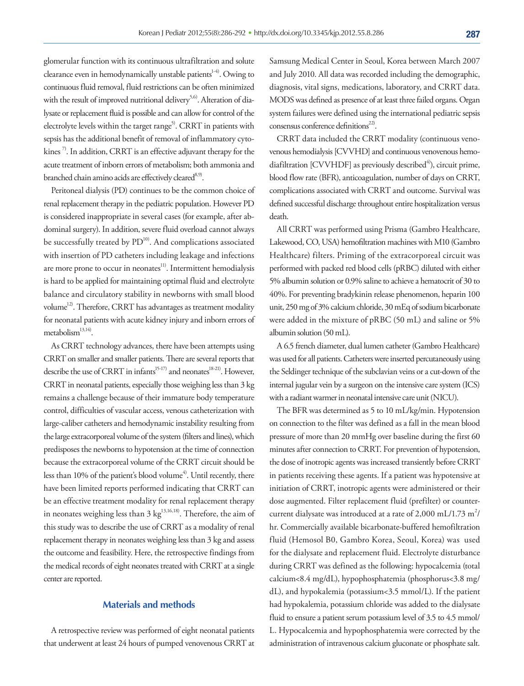glomerular function with its continuous ultrafiltration and solute clearance even in hemodynamically unstable patients $1-4$ . Owing to continuous fluid removal, fluid restrictions can be often minimized with the result of improved nutritional delivery<sup>5,6)</sup>. Alteration of dialysate or replacement fluid is possible and can allow for control of the electrolyte levels within the target range<sup>5)</sup>. CRRT in patients with sepsis has the additional benefit of removal of inflammatory cytokines  $\frac{7}{7}$ . In addition, CRRT is an effective adjuvant therapy for the acute treatment of inborn errors of metabolism; both ammonia and branched chain amino acids are effectively cleared $8,9$ .

Peritoneal dialysis (PD) continues to be the common choice of renal replacement therapy in the pediatric population. However PD is considered inappropriate in several cases (for example, after abdominal surgery). In addition, severe fluid overload cannot always be successfully treated by  $PD^{10}$ . And complications associated with insertion of PD catheters including leakage and infections are more prone to occur in neonates<sup>11)</sup>. Intermittent hemodialysis is hard to be applied for maintaining optimal fluid and electrolyte balance and circulatory stability in newborns with small blood volume<sup>12)</sup>. Therefore, CRRT has advantages as treatment modality for neonatal patients with acute kidney injury and inborn errors of  $metabolism<sup>13,14</sup>$ .

As CRRT technology advances, there have been attempts using CRRT on smaller and smaller patients. There are several reports that describe the use of CRRT in infants<sup>15-17)</sup> and neonates<sup>18-21)</sup>. However, CRRT in neonatal patients, especially those weighing less than 3 kg remains a challenge because of their immature body temperature control, difficulties of vascular access, venous catheterization with large-caliber catheters and hemodynamic instability resulting from the large extracorporeal volume of the system (filters and lines), which predisposes the newborns to hypotension at the time of connection because the extracorporeal volume of the CRRT circuit should be less than 10% of the patient's blood volume<sup>4)</sup>. Until recently, there have been limited reports performed indicating that CRRT can be an effective treatment modality for renal replacement therapy in neonates weighing less than  $3 \text{ kg}^{13,16,18}$ . Therefore, the aim of this study was to describe the use of CRRT as a modality of renal replacement therapy in neonates weighing less than 3 kg and assess the outcome and feasibility. Here, the retrospective findings from the medical records of eight neonates treated with CRRT at a single center are reported.

# **Materials and methods**

A retrospective review was performed of eight neonatal patients that underwent at least 24 hours of pumped venovenous CRRT at Samsung Medical Center in Seoul, Korea between March 2007 and July 2010. All data was recorded including the demographic, diagnosis, vital signs, medications, laboratory, and CRRT data. MODS was defined as presence of at least three failed organs. Organ system failures were defined using the international pediatric sepsis consensus conference definitions<sup>22)</sup>.

CRRT data included the CRRT modality (continuous venovenous hemodialysis [CVVHD] and continuous venovenous hemodiafiltration [CVVHDF] as previously described<sup>4</sup>), circuit prime, blood flow rate (BFR), anticoagulation, number of days on CRRT, complications associated with CRRT and outcome. Survival was defined successful discharge throughout entire hospitalization versus death.

All CRRT was performed using Prisma (Gambro Healthcare, Lakewood, CO, USA) hemofiltration machines with M10 (Gambro Healthcare) filters. Priming of the extracorporeal circuit was performed with packed red blood cells (pRBC) diluted with either 5% albumin solution or 0.9% saline to achieve a hematocrit of 30 to 40%. For preventing bradykinin release phenomenon, heparin 100 unit, 250 mg of 3% calcium chloride, 30 mEq of sodium bicarbonate were added in the mixture of pRBC (50 mL) and saline or 5% albumin solution (50 mL).

A 6.5 french diameter, dual lumen catheter (Gambro Healthcare) was used for all patients. Catheters were inserted percutaneously using the Seldinger technique of the subclavian veins or a cut-down of the internal jugular vein by a surgeon on the intensive care system (ICS) with a radiant warmer in neonatal intensive care unit (NICU).

The BFR was determined as 5 to 10 mL/kg/min. Hypotension on connection to the filter was defined as a fall in the mean blood pressure of more than 20 mmHg over baseline during the first 60 minutes after connection to CRRT. For prevention of hypotension, the dose of inotropic agents was increased transiently before CRRT in patients receiving these agents. If a patient was hypotensive at initiation of CRRT, inotropic agents were administered or their dose augmented. Filter replacement fluid (prefilter) or countercurrent dialysate was introduced at a rate of 2,000 mL/1.73  $m^2$ / hr. Commercially available bicarbonate-buffered hemofiltration fluid (Hemosol B0, Gambro Korea, Seoul, Korea) was used for the dialysate and replacement fluid. Electrolyte disturbance during CRRT was defined as the following: hypocalcemia (total calcium<8.4 mg/dL), hypophosphatemia (phosphorus<3.8 mg/ dL), and hypokalemia (potassium<3.5 mmol/L). If the patient had hypokalemia, potassium chloride was added to the dialysate fluid to ensure a patient serum potassium level of 3.5 to 4.5 mmol/ L. Hypocalcemia and hypophosphatemia were corrected by the administration of intravenous calcium gluconate or phosphate salt.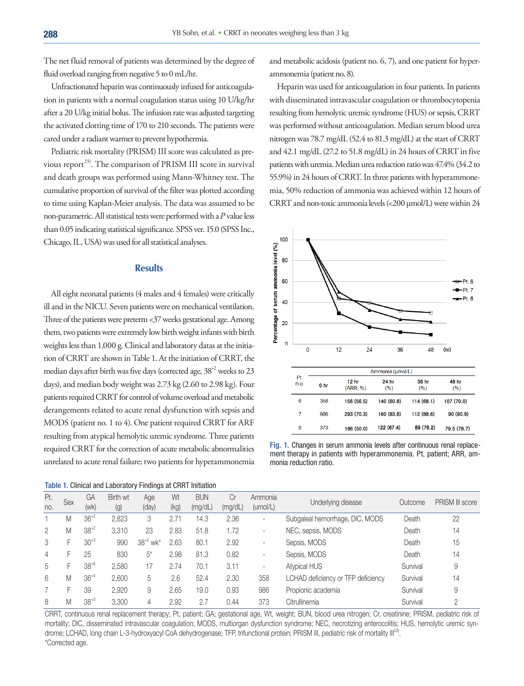The net fluid removal of patients was determined by the degree of fluid overload ranging from negative 5 to 0 mL/hr.

Unfractionated heparin was continuously infused for anticoagulation in patients with a normal coagulation status using 10 U/kg/hr after a 20 U/kg initial bolus. The infusion rate was adjusted targeting the activated clotting time of 170 to 210 seconds. The patients were cared under a radiant warmer to prevent hypothermia.

Pediatric risk mortality (PRISM) III score was calculated as previous report<sup>23)</sup>. The comparison of PRISM III score in survival and death groups was performed using Mann-Whitney test. The cumulative proportion of survival of the filter was plotted according to time using Kaplan-Meier analysis. The data was assumed to be non-parametric. All statistical tests were performed with a P value less than 0.05 indicating statistical significance. SPSS ver. 15.0 (SPSS Inc., Chicago, IL, USA) was used for all statistical analyses.

#### **Results**

All eight neonatal patients (4 males and 4 females) were critically ill and in the NICU. Seven patients were on mechanical ventilation. Three of the patients were preterm <37 weeks gestational age. Among them, two patients were extremely low birth weight infants with birth weights less than 1,000 g. Clinical and laboratory datas at the initiation of CRRT are shown in Table 1. At the initiation of CRRT, the median days after birth was five days (corrected age,  $38^{+2}$  weeks to 23 days), and median body weight was 2.73 kg (2.60 to 2.98 kg). Four patients required CRRT for control of volume overload and metabolic derangements related to acute renal dysfunction with sepsis and MODS (patient no. 1 to 4). One patient required CRRT for ARF resulting from atypical hemolytic uremic syndrome. Three patients required CRRT for the correction of acute metabolic abnormalities unrelated to acute renal failure; two patients for hyperammonemia

|  |  | <b>Table 1. Clinical and Laboratory Findings at CRRT Initiation</b> |  |  |  |
|--|--|---------------------------------------------------------------------|--|--|--|
|--|--|---------------------------------------------------------------------|--|--|--|

and metabolic acidosis (patient no. 6, 7), and one patient for hyperammonemia (patient no. 8).

Heparin was used for anticoagulation in four patients. In patients with disseminated intravascular coagulation or thrombocytopenia resulting from hemolytic uremic syndrome (HUS) or sepsis, CRRT was performed without anticoagulation. Median serum blood urea nitrogen was 78.7 mg/dL (52.4 to 81.3 mg/dL) at the start of CRRT and 42.1 mg/dL (27.2 to 51.8 mg/dL) in 24 hours of CRRT in five patients with uremia. Median urea reduction ratio was 47.4% (34.2 to 55.9%) in 24 hours of CRRT. In three patients with hyperammonemia, 50% reduction of ammonia was achieved within 12 hours of CRRT and non-toxic ammonia levels (<200 μmol/L) were within 24



Fig. 1. Changes in serum ammonia levels after continuous renal replacement therapy in patients with hyperammonemia. Pt, patient; ARR, ammonia reduction ratio.

| Pt.<br>no.     | <b>Sex</b> | GA<br>(wk) | Birth wt<br>(g) | Age<br>(day)  | Wt<br>(kg) | <b>BUN</b><br>(mg/dL) | Cr<br>(mg/dL) | Ammonia<br>(umol/L)      | Underlying disease                 | Outcome  | <b>PRISM III score</b> |
|----------------|------------|------------|-----------------|---------------|------------|-----------------------|---------------|--------------------------|------------------------------------|----------|------------------------|
|                | M          | $36^{+2}$  | 2,823           | 3             | 2.71       | 14.3                  | 2.36          | Ξ.                       | Subgaleal hemorrhage, DIC, MODS    | Death    | 22                     |
| $\overline{2}$ | M          | $38^{+2}$  | 3.310           | 23            | 2.83       | 51.8                  | 1.72          | -                        | NEC, sepsis, MODS                  | Death    | 14                     |
| 3              | F          | $30^{+3}$  | 990             | $38^{+2}$ wk* | 2.63       | 80.1                  | 2.92          | -                        | Sepsis, MODS                       | Death    | 15                     |
| 4              | F          | 25         | 830             | $5^*$         | 2.98       | 81.3                  | 0.82          | $\overline{\phantom{0}}$ | Sepsis, MODS                       | Death    | 14                     |
| 5              | F          | $38^{+6}$  | 2,580           | 17            | 2.74       | 70.1                  | 3.11          | -                        | Atypical HUS                       | Survival | 9                      |
| 6              | M          | $36^{+4}$  | 2.600           | 5             | 2.6        | 52.4                  | 2.30          | 358                      | LCHAD deficiency or TFP deficiency | Survival | 14                     |
|                | F          | 39         | 2,920           | 9             | 2.65       | 19.0                  | 0.93          | 986                      | Propionic academia                 | Survival | 9                      |
| 8              | M          | $38^{+3}$  | 3,300           | 4             | 2.92       | 2.7                   | 0.44          | 373                      | Citrullinemia                      | Survival |                        |

CRRT, continuous renal replacement therapy; Pt, patient; GA; gestational age, Wt, weight; BUN, blood urea nitrogen; Cr, creatinine; PRISM, pediatric risk of mortality; DIC, disseminated intravascular coagulation; MODS, multiorgan dysfunction syndrome; NEC, necrotizing enterocolitis; HUS, hemolytic uremic syndrome; LCHAD, long chain L-3-hydroxyacyl CoA dehydrogenase; TFP, trifunctional protein; PRISM III, pediatric risk of mortality III<sup>23</sup>. \*Corrected age.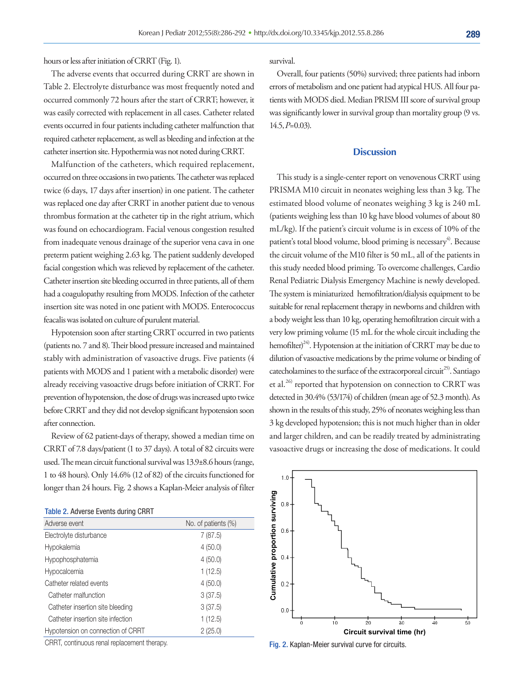hours or less after initiation of CRRT (Fig. 1).

The adverse events that occurred during CRRT are shown in Table 2. Electrolyte disturbance was most frequently noted and occurred commonly 72 hours after the start of CRRT; however, it was easily corrected with replacement in all cases. Catheter related events occurred in four patients including catheter malfunction that required catheter replacement, as well as bleeding and infection at the catheter insertion site. Hypothermia was not noted during CRRT.

Malfunction of the catheters, which required replacement, occurred on three occasions in two patients. The catheter was replaced twice (6 days, 17 days after insertion) in one patient. The catheter was replaced one day after CRRT in another patient due to venous thrombus formation at the catheter tip in the right atrium, which was found on echocardiogram. Facial venous congestion resulted from inadequate venous drainage of the superior vena cava in one preterm patient weighing 2.63 kg. The patient suddenly developed facial congestion which was relieved by replacement of the catheter. Catheter insertion site bleeding occurred in three patients, all of them had a coagulopathy resulting from MODS. Infection of the catheter insertion site was noted in one patient with MODS. Enterococcus feacalis was isolated on culture of purulent material.

Hypotension soon after starting CRRT occurred in two patients (patients no. 7 and 8). Their blood pressure increased and maintained stably with administration of vasoactive drugs. Five patients (4 patients with MODS and 1 patient with a metabolic disorder) were already receiving vasoactive drugs before initiation of CRRT. For prevention of hypotension, the dose of drugs was increased upto twice before CRRT and they did not develop significant hypotension soon after connection.

Review of 62 patient-days of therapy, showed a median time on CRRT of 7.8 days/patient (1 to 37 days). A total of 82 circuits were used. The mean circuit functional survival was 13.9±8.6 hours (range, 1 to 48 hours). Only 14.6% (12 of 82) of the circuits functioned for longer than 24 hours. Fig. 2 shows a Kaplan-Meier analysis of filter

|  | Table 2. Adverse Events during CRRT |  |  |  |
|--|-------------------------------------|--|--|--|
|--|-------------------------------------|--|--|--|

| Adverse event                     | No. of patients (%) |
|-----------------------------------|---------------------|
| Electrolyte disturbance           | 7(87.5)             |
| Hypokalemia                       | 4(50.0)             |
| Hypophosphatemia                  | 4(50.0)             |
| Hypocalcemia                      | 1(12.5)             |
| Catheter related events           | 4(50.0)             |
| Catheter malfunction              | 3(37.5)             |
| Catheter insertion site bleeding  | 3(37.5)             |
| Catheter insertion site infection | 1(12.5)             |
| Hypotension on connection of CRRT | 2(25.0)             |

CRRT, continuous renal replacement therapy.

survival.

Overall, four patients (50%) survived; three patients had inborn errors of metabolism and one patient had atypical HUS. All four patients with MODS died. Median PRISM III score of survival group was significantly lower in survival group than mortality group (9 vs.  $14.5, P=0.03$ 

# **Discussion**

This study is a single-center report on venovenous CRRT using PRISMA M10 circuit in neonates weighing less than 3 kg. The estimated blood volume of neonates weighing 3 kg is 240 mL (patients weighing less than 10 kg have blood volumes of about 80 mL/kg). If the patient's circuit volume is in excess of 10% of the patient's total blood volume, blood priming is necessary<sup>4</sup>. Because the circuit volume of the M10 filter is 50 mL, all of the patients in this study needed blood priming. To overcome challenges, Cardio Renal Pediatric Dialysis Emergency Machine is newly developed. The system is miniaturized hemofiltration/dialysis equipment to be suitable for renal replacement therapy in newborns and children with a body weight less than 10 kg, operating hemofiltration circuit with a very low priming volume (15 mL for the whole circuit including the hemofilter)<sup>24)</sup>. Hypotension at the initiation of CRRT may be due to dilution of vasoactive medications by the prime volume or binding of catecholamines to the surface of the extracorporeal circuit<sup>25)</sup>. Santiago et al. $^{26)}$  reported that hypotension on connection to CRRT was detected in 30.4% (53/174) of children (mean age of 52.3 month). As shown in the results of this study, 25% of neonates weighing less than 3 kg developed hypotension; this is not much higher than in older and larger children, and can be readily treated by administrating vasoactive drugs or increasing the dose of medications. It could



Fig. 2. Kaplan-Meier survival curve for circuits.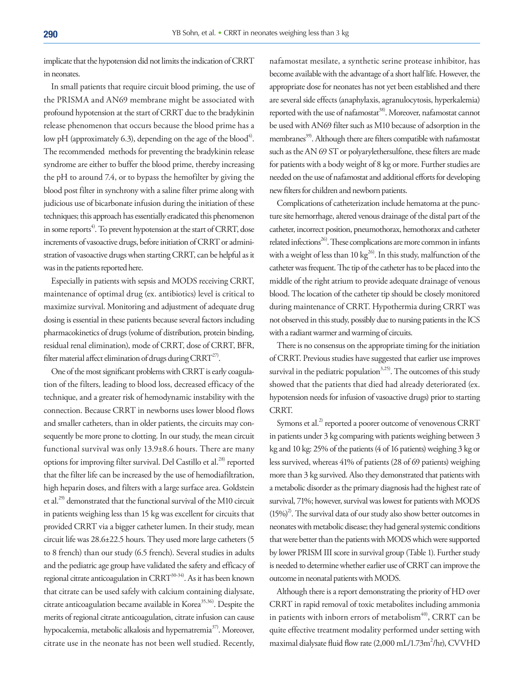implicate that the hypotension did not limits the indication of CRRT in neonates.

In small patients that require circuit blood priming, the use of the PRISMA and AN69 membrane might be associated with profound hypotension at the start of CRRT due to the bradykinin release phenomenon that occurs because the blood prime has a low pH (approximately 6.3), depending on the age of the blood<sup>4)</sup>. The recommended methods for preventing the bradykinin release syndrome are either to buffer the blood prime, thereby increasing the pH to around 7.4, or to bypass the hemofilter by giving the blood post filter in synchrony with a saline filter prime along with judicious use of bicarbonate infusion during the initiation of these techniques; this approach has essentially eradicated this phenomenon in some reports<sup>4)</sup>. To prevent hypotension at the start of CRRT, dose increments of vasoactive drugs, before initiation of CRRT or administration of vasoactive drugs when starting CRRT, can be helpful as it was in the patients reported here.

Especially in patients with sepsis and MODS receiving CRRT, maintenance of optimal drug (ex. antibiotics) level is critical to maximize survival. Monitoring and adjustment of adequate drug dosing is essential in these patients because several factors including pharmacokinetics of drugs (volume of distribution, protein binding, residual renal elimination), mode of CRRT, dose of CRRT, BFR, filter material affect elimination of drugs during  $CRRT^{27}$ .

One of the most significant problems with CRRT is early coagulation of the filters, leading to blood loss, decreased efficacy of the technique, and a greater risk of hemodynamic instability with the connection. Because CRRT in newborns uses lower blood flows and smaller catheters, than in older patients, the circuits may consequently be more prone to clotting. In our study, the mean circuit functional survival was only 13.9±8.6 hours. There are many options for improving filter survival. Del Castillo et al.<sup>28)</sup> reported that the filter life can be increased by the use of hemodiafiltration, high heparin doses, and filters with a large surface area. Goldstein et al.<sup>29)</sup> demonstrated that the functional survival of the M10 circuit in patients weighing less than 15 kg was excellent for circuits that provided CRRT via a bigger catheter lumen. In their study, mean circuit life was 28.6±22.5 hours. They used more large catheters (5 to 8 french) than our study (6.5 french). Several studies in adults and the pediatric age group have validated the safety and efficacy of regional citrate anticoagulation in  $\mathrm{CRRT}^{30\text{-}34)}$ . As it has been known that citrate can be used safely with calcium containing dialysate, citrate anticoagulation became available in Korea<sup>35,36</sup>. Despite the merits of regional citrate anticoagulation, citrate infusion can cause hypocalcemia, metabolic alkalosis and hypernatremia<sup>37)</sup>. Moreover, citrate use in the neonate has not been well studied. Recently,

nafamostat mesilate, a synthetic serine protease inhibitor, has become available with the advantage of a short half life. However, the appropriate dose for neonates has not yet been established and there are several side effects (anaphylaxis, agranulocytosis, hyperkalemia) reported with the use of nafamostat<sup>38</sup>. Moreover, nafamostat cannot be used with AN69 filter such as M10 because of adsorption in the membranes<sup>39)</sup>. Although there are filters compatible with nafamostat such as the AN 69 ST or polyarylethersulfone, these filters are made for patients with a body weight of 8 kg or more. Further studies are needed on the use of nafamostat and additional efforts for developing new filters for children and newborn patients.

Complications of catheterization include hematoma at the puncture site hemorrhage, altered venous drainage of the distal part of the catheter, incorrect position, pneumothorax, hemothorax and catheter related infections<sup>26</sup>. These complications are more common in infants with a weight of less than 10 kg<sup>26</sup>. In this study, malfunction of the catheter was frequent. The tip of the catheter has to be placed into the middle of the right atrium to provide adequate drainage of venous blood. The location of the catheter tip should be closely monitored during maintenance of CRRT. Hypothermia during CRRT was not observed in this study, possibly due to nursing patients in the ICS with a radiant warmer and warming of circuits.

There is no consensus on the appropriate timing for the initiation of CRRT. Previous studies have suggested that earlier use improves survival in the pediatric population<sup>3,25)</sup>. The outcomes of this study showed that the patients that died had already deteriorated (ex. hypotension needs for infusion of vasoactive drugs) prior to starting CRRT.

Symons et al.<sup>2)</sup> reported a poorer outcome of venovenous CRRT in patients under 3 kg comparing with patients weighing between 3 kg and 10 kg: 25% of the patients (4 of 16 patients) weighing 3 kg or less survived, whereas 41% of patients (28 of 69 patients) weighing more than 3 kg survived. Also they demonstrated that patients with a metabolic disorder as the primary diagnosis had the highest rate of survival, 71%; however, survival was lowest for patients with MODS  $(15\%)^2$ . The survival data of our study also show better outcomes in neonates with metabolic disease; they had general systemic conditions that were better than the patients with MODS which were supported by lower PRISM III score in survival group (Table 1). Further study is needed to determine whether earlier use of CRRT can improve the outcome in neonatal patients with MODS.

Although there is a report demonstrating the priority of HD over CRRT in rapid removal of toxic metabolites including ammonia in patients with inborn errors of metabolism $40$ , CRRT can be quite effective treatment modality performed under setting with maximal dialysate fluid flow rate (2,000 mL/1.73m<sup>2</sup>/hr), CVVHD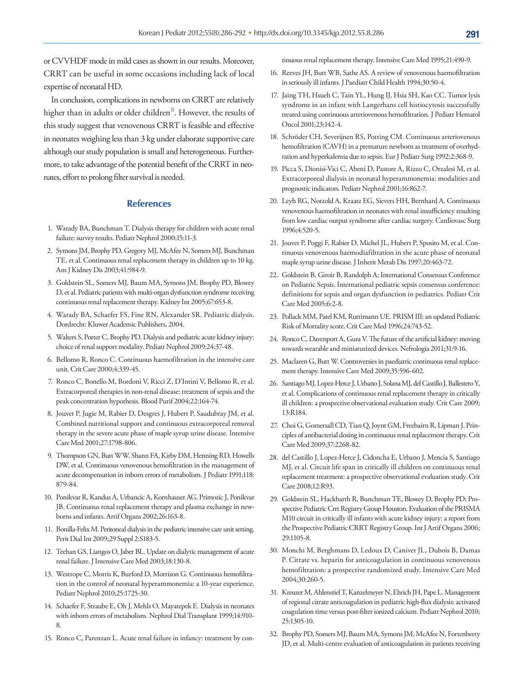or CVVHDF mode in mild cases as shown in our results. Moreover, CRRT can be useful in some occasions including lack of local expertise of neonatal HD.

In conclusion, complications in newborns on CRRT are relatively higher than in adults or older children<sup>2</sup>. However, the results of this study suggest that venovenous CRRT is feasible and effective in neonates weighing less than 3 kg under elaborate supportive care although our study population is small and heterogeneous. Furthermore, to take advantage of the potential benefit of the CRRT in neonates, effort to prolong filter survival is needed.

### **References**

- 1. Warady BA, Bunchman T. Dialysis therapy for children with acute renal failure: survey results. Pediatr Nephrol 2000;15:11-3.
- 2. Symons JM, Brophy PD, Gregory MJ, McAfee N, Somers MJ, Bunchman TE, et al. Continuous renal replacement therapy in children up to 10 kg. Am J Kidney Dis 2003;41:984-9.
- 3. Goldstein SL, Somers MJ, Baum MA, Symons JM, Brophy PD, Blowey D, et al. Pediatric patients with multi-organ dysfunction syndrome receiving continuous renal replacement therapy. Kidney Int 2005;67:653-8.
- 4. Warady BA, Schaefer FS, Fine RN, Alexander SR. Pediatric dialysis. Dordrecht: Kluwer Academic Publishers, 2004.
- 5. Walters S, Porter C, Brophy PD. Dialysis and pediatric acute kidney injury: choice of renal support modality. Pediatr Nephrol 2009;24:37-48.
- 6. Bellomo R, Ronco C. Continuous haemofiltration in the intensive care unit. Crit Care 2000;4:339-45.
- 7. Ronco C, Bonello M, Bordoni V, Ricci Z, D'Intini V, Bellomo R, et al. Extracorporeal therapies in non-renal disease: treatment of sepsis and the peak concentration hypothesis. Blood Purif 2004;22:164-74.
- 8. Jouvet P, Jugie M, Rabier D, Desgres J, Hubert P, Saudubray JM, et al. Combined nutritional support and continuous extracorporeal removal therapy in the severe acute phase of maple syrup urine disease. Intensive Care Med 2001;27:1798-806.
- 9. Thompson GN, Butt WW, Shann FA, Kirby DM, Henning RD, Howells DW, et al. Continuous venovenous hemofiltration in the management of acute decompensation in inborn errors of metabolism. J Pediatr 1991;118: 879-84.
- 10. Ponikvar R, Kandus A, Urbancic A, Kornhauser AG, Primozic J, Ponikvar JB. Continuous renal replacement therapy and plasma exchange in newborns and infants. Artif Organs 2002;26:163-8.
- 11. Bonilla-Felix M. Peritoneal dialysis in the pediatric intensive care unit setting. Perit Dial Int 2009;29 Suppl 2:S183-5.
- 12. Teehan GS, Liangos O, Jaber BL. Update on dialytic management of acute renal failure. J Intensive Care Med 2003;18:130-8.
- 13. Westrope C, Morris K, Burford D, Morrison G. Continuous hemofiltration in the control of neonatal hyperammonemia: a 10-year experience. Pediatr Nephrol 2010;25:1725-30.
- 14. Schaefer F, Straube E, Oh J, Mehls O, Mayatepek E. Dialysis in neonates with inborn errors of metabolism. Nephrol Dial Transplant 1999;14:910- 8.
- 15. Ronco C, Parenzan L. Acute renal failure in infancy: treatment by con-

tinuous renal replacement therapy. Intensive Care Med 1995;21:490-9.

- 16. Reeves JH, Butt WB, Sathe AS. A review of venovenous haemofiltration in seriously ill infants. J Paediatr Child Health 1994;30:50-4.
- 17. Jaing TH, Hsueh C, Tain YL, Hung IJ, Hsia SH, Kao CC. Tumor lysis syndrome in an infant with Langerhans cell histiocytosis successfully treated using continuous arteriovenous hemofiltration. J Pediatr Hematol Oncol 2001;23:142-4.
- 18. Schröder CH, Severijnen RS, Potting CM. Continuous arteriovenous hemofiltration (CAVH) in a premature newborn as treatment of overhydration and hyperkalemia due to sepsis. Eur J Pediatr Surg 1992;2:368-9.
- 19. Picca S, Dionisi-Vici C, Abeni D, Pastore A, Rizzo C, Orzalesi M, et al. Extracorporeal dialysis in neonatal hyperammonemia: modalities and prognostic indicators. Pediatr Nephrol 2001;16:862-7.
- 20. Leyh RG, Notzold A, Kraatz EG, Sievers HH, Bernhard A. Continuous venovenous haemofiltration in neonates with renal insufficiency resulting from low cardiac output syndrome after cardiac surgery. Cardiovasc Surg 1996;4:520-5.
- 21. Jouvet P, Poggi F, Rabier D, Michel JL, Hubert P, Sposito M, et al. Continuous venovenous haemodiafiltration in the acute phase of neonatal maple syrup urine disease. J Inherit Metab Dis 1997;20:463-72.
- 22. Goldstein B, Giroir B, Randolph A; International Consensus Conference on Pediatric Sepsis. International pediatric sepsis consensus conference: definitions for sepsis and organ dysfunction in pediatrics. Pediatr Crit Care Med 2005;6:2-8.
- 23. Pollack MM, Patel KM, Ruttimann UE. PRISM III: an updated Pediatric Risk of Mortality score. Crit Care Med 1996;24:743-52.
- 24. Ronco C, Davenport A, Gura V. The future of the artificial kidney: moving towards wearable and miniaturized devices. Nefrologia 2011;31:9-16.
- 25. Maclaren G, Butt W. Controversies in paediatric continuous renal replacement therapy. Intensive Care Med 2009;35:596-602.
- 26. Santiago MJ, Lopez-Herce J, Urbano J, Solana MJ, del Castillo J, Ballestero Y, et al. Complications of continuous renal replacement therapy in critically ill children: a prospective observational evaluation study. Crit Care 2009; 13:R184.
- 27. Choi G, Gomersall CD, Tian Q, Joynt GM, Freebairn R, Lipman J. Principles of antibacterial dosing in continuous renal replacement therapy. Crit Care Med 2009;37:2268-82.
- 28. del Castillo J, Lopez-Herce J, Cidoncha E, Urbano J, Mencia S, Santiago MJ, et al. Circuit life span in critically ill children on continuous renal replacement treatment: a prospective observational evaluation study. Crit Care 2008;12:R93.
- 29. Goldstein SL, Hackbarth R, Bunchman TE, Blowey D, Brophy PD; Prospective Pediatric Crrt Registry Group Houston. Evaluation of the PRISMA M10 circuit in critically ill infants with acute kidney injury: a report from the Prospective Pediatric CRRT Registry Group. Int J Artif Organs 2006; 29:1105-8.
- 30. Monchi M, Berghmans D, Ledoux D, Canivet JL, Dubois B, Damas P. Citrate vs. heparin for anticoagulation in continuous venovenous hemofiltration: a prospective randomized study. Intensive Care Med 2004;30:260-5.
- 31. Kreuzer M, Ahlenstiel T, Kanzelmeyer N, Ehrich JH, Pape L. Management of regional citrate anticoagulation in pediatric high-flux dialysis: activated coagulation time versus post-filter ionized calcium. Pediatr Nephrol 2010; 25:1305-10.
- 32. Brophy PD, Somers MJ, Baum MA, Symons JM, McAfee N, Fortenberry JD, et al. Multi-centre evaluation of anticoagulation in patients receiving